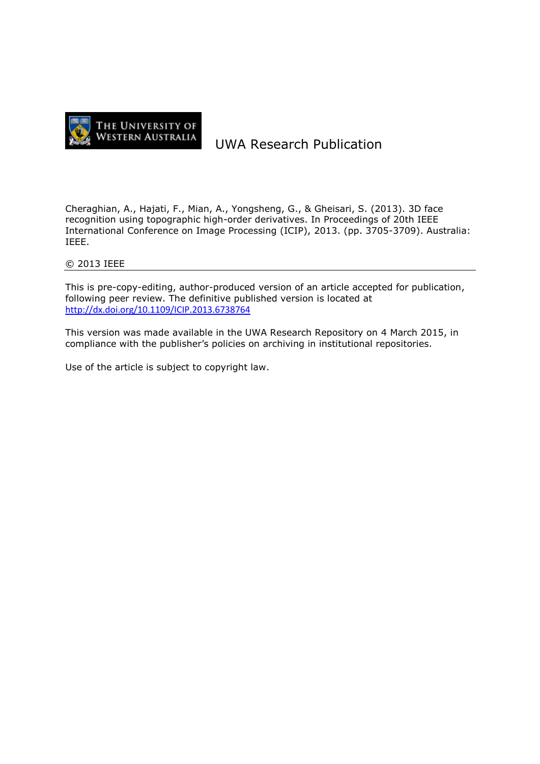

# UWA Research Publication

Cheraghian, A., Hajati, F., Mian, A., Yongsheng, G., & Gheisari, S. (2013). 3D face recognition using topographic high-order derivatives. In Proceedings of 20th IEEE International Conference on Image Processing (ICIP), 2013. (pp. 3705-3709). Australia: IEEE.

# © 2013 IEEE

This is pre-copy-editing, author-produced version of an article accepted for publication, following peer review. The definitive published version is located at <http://dx.doi.org/10.1109/ICIP.2013.6738764>

This version was made available in the UWA Research Repository on 4 March 2015, in compliance with the publisher's policies on archiving in institutional repositories.

Use of the article is subject to copyright law.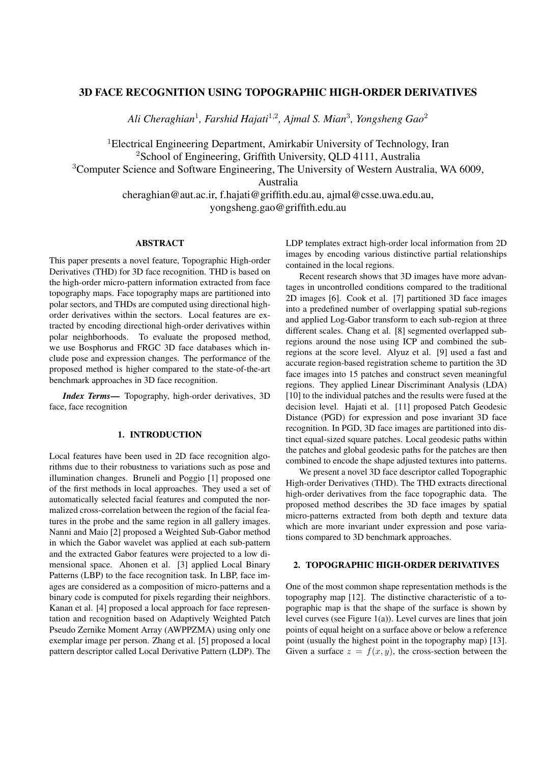## 3D FACE RECOGNITION USING TOPOGRAPHIC HIGH-ORDER DERIVATIVES

*Ali Cheraghian*<sup>1</sup> *, Farshid Hajati*<sup>1</sup>*,*<sup>2</sup> *, Ajmal S. Mian*<sup>3</sup> *, Yongsheng Gao*<sup>2</sup>

<sup>1</sup>Electrical Engineering Department, Amirkabir University of Technology, Iran <sup>2</sup>School of Engineering, Griffith University, QLD 4111, Australia <sup>3</sup>Computer Science and Software Engineering, The University of Western Australia, WA 6009, Australia cheraghian@aut.ac.ir, f.hajati@griffith.edu.au, ajmal@csse.uwa.edu.au, yongsheng.gao@griffith.edu.au

# ABSTRACT

This paper presents a novel feature, Topographic High-order Derivatives (THD) for 3D face recognition. THD is based on the high-order micro-pattern information extracted from face topography maps. Face topography maps are partitioned into polar sectors, and THDs are computed using directional highorder derivatives within the sectors. Local features are extracted by encoding directional high-order derivatives within polar neighborhoods. To evaluate the proposed method, we use Bosphorus and FRGC 3D face databases which include pose and expression changes. The performance of the proposed method is higher compared to the state-of-the-art benchmark approaches in 3D face recognition.

*Index Terms*— Topography, high-order derivatives, 3D face, face recognition

## 1. INTRODUCTION

Local features have been used in 2D face recognition algorithms due to their robustness to variations such as pose and illumination changes. Bruneli and Poggio [1] proposed one of the first methods in local approaches. They used a set of automatically selected facial features and computed the normalized cross-correlation between the region of the facial features in the probe and the same region in all gallery images. Nanni and Maio [2] proposed a Weighted Sub-Gabor method in which the Gabor wavelet was applied at each sub-pattern and the extracted Gabor features were projected to a low dimensional space. Ahonen et al. [3] applied Local Binary Patterns (LBP) to the face recognition task. In LBP, face images are considered as a composition of micro-patterns and a binary code is computed for pixels regarding their neighbors. Kanan et al. [4] proposed a local approach for face representation and recognition based on Adaptively Weighted Patch Pseudo Zernike Moment Array (AWPPZMA) using only one exemplar image per person. Zhang et al. [5] proposed a local pattern descriptor called Local Derivative Pattern (LDP). The LDP templates extract high-order local information from 2D images by encoding various distinctive partial relationships contained in the local regions.

Recent research shows that 3D images have more advantages in uncontrolled conditions compared to the traditional 2D images [6]. Cook et al. [7] partitioned 3D face images into a predefined number of overlapping spatial sub-regions and applied Log-Gabor transform to each sub-region at three different scales. Chang et al. [8] segmented overlapped subregions around the nose using ICP and combined the subregions at the score level. Alyuz et al. [9] used a fast and accurate region-based registration scheme to partition the 3D face images into 15 patches and construct seven meaningful regions. They applied Linear Discriminant Analysis (LDA) [10] to the individual patches and the results were fused at the decision level. Hajati et al. [11] proposed Patch Geodesic Distance (PGD) for expression and pose invariant 3D face recognition. In PGD, 3D face images are partitioned into distinct equal-sized square patches. Local geodesic paths within the patches and global geodesic paths for the patches are then combined to encode the shape adjusted textures into patterns.

We present a novel 3D face descriptor called Topographic High-order Derivatives (THD). The THD extracts directional high-order derivatives from the face topographic data. The proposed method describes the 3D face images by spatial micro-patterns extracted from both depth and texture data which are more invariant under expression and pose variations compared to 3D benchmark approaches.

## 2. TOPOGRAPHIC HIGH-ORDER DERIVATIVES

One of the most common shape representation methods is the topography map [12]. The distinctive characteristic of a topographic map is that the shape of the surface is shown by level curves (see Figure 1(a)). Level curves are lines that join points of equal height on a surface above or below a reference point (usually the highest point in the topography map) [13]. Given a surface  $z = f(x, y)$ , the cross-section between the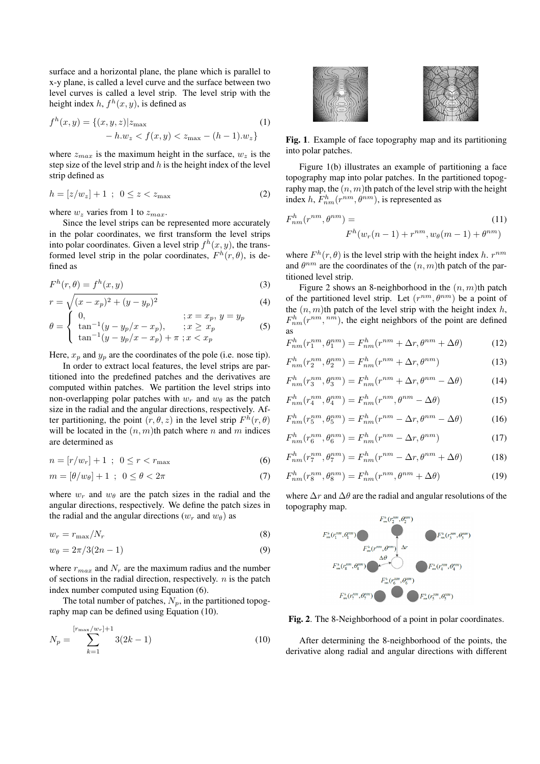surface and a horizontal plane, the plane which is parallel to x-y plane, is called a level curve and the surface between two level curves is called a level strip. The level strip with the height index  $h$ ,  $f^h(x, y)$ , is defined as

$$
f^{h}(x, y) = \{(x, y, z)|z_{\max} - h.w_{z} < f(x, y) < z_{\max} - (h - 1).w_{z}\}\tag{1}
$$

where  $z_{max}$  is the maximum height in the surface,  $w_z$  is the step size of the level strip and *h* is the height index of the level strip defined as

$$
h = [z/w_z] + 1 \; ; \; 0 \le z < z_{\text{max}} \tag{2}
$$

where  $w_z$  varies from 1 to  $z_{max}$ .

Since the level strips can be represented more accurately in the polar coordinates, we first transform the level strips into polar coordinates. Given a level strip  $f^h(x, y)$ , the transformed level strip in the polar coordinates,  $F^h(r, \theta)$ , is defined as

$$
F^{h}(r,\theta) = f^{h}(x,y)
$$
\n(3)

$$
r = \sqrt{(x - x_p)^2 + (y - y_p)^2}
$$
  
\n
$$
\begin{cases}\n0, & x = x_p, y = y_p\n\end{cases}
$$
\n(4)

$$
\theta = \begin{cases}\n0, &; x = x_p, \ y = y_p \\
\tan^{-1}(y - y_p/x - x_p), &; x \geq x_p \\
\tan^{-1}(y - y_p/x - x_p) + \pi; x < x_p\n\end{cases} \tag{5}
$$

Here,  $x_p$  and  $y_p$  are the coordinates of the pole (i.e. nose tip).

In order to extract local features, the level strips are partitioned into the predefined patches and the derivatives are computed within patches. We partition the level strips into non-overlapping polar patches with  $w_r$  and  $w_\theta$  as the patch size in the radial and the angular directions, respectively. After partitioning, the point  $(r, \theta, z)$  in the level strip  $F^h(r, \theta)$ will be located in the  $(n, m)$ th patch where *n* and *m* indices are determined as

$$
n = [r/w_r] + 1 \; ; \; 0 \le r < r_{\text{max}} \tag{6}
$$

$$
m = \left[\theta/w_{\theta}\right] + 1 \; ; \; 0 \le \theta < 2\pi \tag{7}
$$

where  $w_r$  and  $w_\theta$  are the patch sizes in the radial and the angular directions, respectively. We define the patch sizes in the radial and the angular directions  $(w_r \text{ and } w_\theta)$  as

$$
w_r = r_{\text{max}}/N_r \tag{8}
$$

$$
w_{\theta} = 2\pi/3(2n-1) \tag{9}
$$

where  $r_{max}$  and  $N_r$  are the maximum radius and the number of sections in the radial direction, respectively. *n* is the patch index number computed using Equation (6).

The total number of patches,  $N_p$ , in the partitioned topography map can be defined using Equation (10).

$$
N_p = \sum_{k=1}^{\lfloor r_{\text{max}}/w_r \rfloor + 1} 3(2k - 1)
$$
 (10)



Fig. 1. Example of face topography map and its partitioning into polar patches.

Figure 1(b) illustrates an example of partitioning a face topography map into polar patches. In the partitioned topography map, the (*n, m*)th patch of the level strip with the height index *h*,  $F_{nm}^h(r^{nm}, \theta^{nm})$ , is represented as

$$
F_{nm}^h(r^{nm}, \theta^{nm}) =
$$
  
\n
$$
F^h(w_r(n-1) + r^{nm}, w_\theta(m-1) + \theta^{nm})
$$
\n(11)

where  $F^h(r, \theta)$  is the level strip with the height index *h*.  $r^{nm}$ and  $\theta^{nm}$  are the coordinates of the  $(n, m)$ th patch of the partitioned level strip.

Figure 2 shows an 8-neighborhood in the  $(n, m)$ th patch of the partitioned level strip. Let  $(r^{nm}, \theta^{nm})$  be a point of the (*n, m*)th patch of the level strip with the height index *h*,  $F_{nm}^h(r^{nm}, {}^{nm})$ , the eight neighbors of the point are defined as

$$
F_{nm}^h(r_1^{nm}, \theta_1^{nm}) = F_{nm}^h(r^{nm} + \Delta r, \theta^{nm} + \Delta \theta)
$$
 (12)

$$
F_{nm}^h(r_2^{nm}, \theta_2^{nm}) = F_{nm}^h(r^{nm} + \Delta r, \theta^{nm})
$$
\n(13)

$$
F_{nm}^h(r_3^{nm}, \theta_3^{nm}) = F_{nm}^h(r^{nm} + \Delta r, \theta^{nm} - \Delta \theta)
$$
 (14)

$$
F_{nm}^h(r_4^{nm}, \theta_4^{nm}) = F_{nm}^h(r^{nm}, \theta^{nm} - \Delta\theta)
$$
 (15)

$$
F_{nm}^h(r_5^{nm}, \theta_5^{nm}) = F_{nm}^h(r^{nm} - \Delta r, \theta^{nm} - \Delta \theta)
$$
 (16)

$$
F_{nm}^h(r_6^{nm}, \theta_6^{nm}) = F_{nm}^h(r^{nm} - \Delta r, \theta^{nm})
$$
 (17)

$$
F_{nm}^h(r_7^{nm}, \theta_7^{nm}) = F_{nm}^h(r^{nm} - \Delta r, \theta^{nm} + \Delta \theta)
$$
 (18)

$$
F_{nm}^h(r_8^{nm}, \theta_8^{nm}) = F_{nm}^h(r^{nm}, \theta^{nm} + \Delta\theta)
$$
 (19)

where ∆*r* and ∆*θ* are the radial and angular resolutions of the topography map.



Fig. 2. The 8-Neighborhood of a point in polar coordinates.

After determining the 8-neighborhood of the points, the derivative along radial and angular directions with different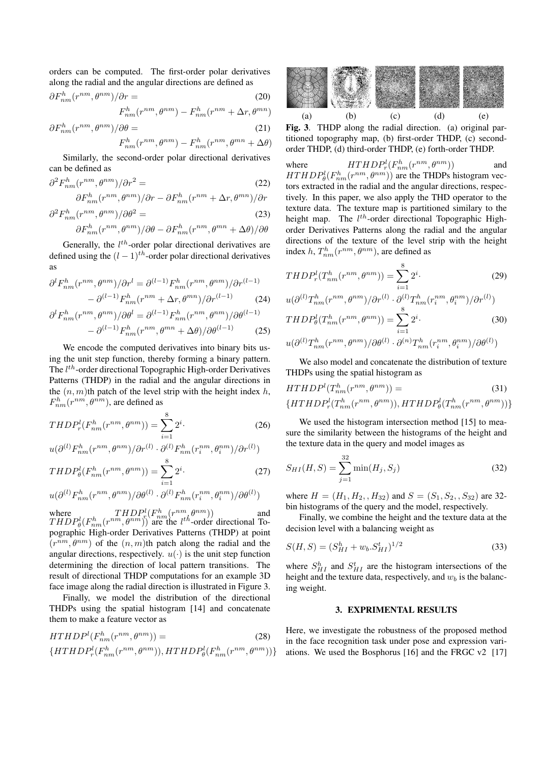orders can be computed. The first-order polar derivatives along the radial and the angular directions are defined as

$$
\partial F_{nm}^h(r^{nm}, \theta^{nm})/\partial r = \qquad (20)
$$

$$
F_{nm}^h(r^{nm}, \theta^{nm}) - F_{nm}^h(r^{nm} + \Delta r, \theta^{mn})
$$

$$
\partial F_{nm}^h(r^{nm}, \theta^{nm})/\partial \theta =
$$
\n
$$
F^h(\rho^{nm}, \theta^{nm}) = F^h(\rho^{nm}, \theta^{mn} + \Delta \theta)
$$
\n(21)

$$
F_{nm}^h(r^{nm}, \theta^{nm}) - F_{nm}^h(r^{nm}, \theta^{mn} + \Delta\theta)
$$

Similarly, the second-order polar directional derivatives can be defined as

$$
\partial^2 F_{nm}^h(r^{nm}, \theta^{nm}) / \partial r^2 = \tag{22}
$$

$$
\partial F_{nm}^h(r^{nm}, \theta^{nm})/\partial r - \partial F_{nm}^h(r^{nm} + \Delta r, \theta^{mn})/\partial r
$$

$$
\partial^2 F_{nm}^h(r^{nm}, \theta^{nm}) / \partial \theta^2 = \tag{23}
$$

$$
\partial F_{nm}^h(r^{nm},\theta^{nm})/\partial \theta - \partial F_{nm}^h(r^{nm},\theta^{mn} + \Delta \theta)/\partial \theta
$$

Generally, the  $l^{th}$ -order polar directional derivatives are defined using the  $(l-1)$ <sup>th</sup>-order polar directional derivatives as

$$
\partial^l F_{nm}^h(r^{nm}, \theta^{nm})/\partial r^l = \partial^{(l-1)} F_{nm}^h(r^{nm}, \theta^{nm})/\partial r^{(l-1)} - \partial^{(l-1)} F_{nm}^h(r^{nm} + \Delta r, \theta^{mn})/\partial r^{(l-1)} \tag{24}
$$

$$
\partial^l F_{nm}^h(r^{nm}, \theta^{nm})/\partial \theta^l = \partial^{(l-1)} F_{nm}^h(r^{nm}, \theta^{nm})/\partial \theta^{(l-1)} - \partial^{(l-1)} F_{nm}^h(r^{nm}, \theta^{mn} + \Delta \theta)/\partial \theta^{(l-1)}
$$
(25)

We encode the computed derivatives into binary bits using the unit step function, thereby forming a binary pattern. The *l th*-order directional Topographic High-order Derivatives Patterns (THDP) in the radial and the angular directions in the  $(n, m)$ th patch of the level strip with the height index  $h$ ,  $F_{nm}^h(r^{nm}, \theta^{nm})$ , are defined as

$$
THDP_r^l(F_{nm}^h(r^{nm}, \theta^{nm})) = \sum_{i=1}^8 2^i.
$$
 (26)

$$
u(\partial^{(l)} F_{nm}^h(r^{nm},\theta^{nm})/\partial r^{(l)}\cdot \partial^{(l)} F_{nm}^h(r_i^{nm},\theta_i^{nm})/\partial r^{(l)})
$$

$$
THDP_{\theta}^{l}(F_{nm}^{h}(r^{nm}, \theta^{nm})) = \sum_{i=1}^{8} 2^{i}.
$$
 (27)

$$
u(\partial^{(l)} F^h_{nm}(r^{nm}, \theta^{nm})/\partial \theta^{(l)} \cdot \partial^{(l)} F^h_{nm}(r_i^{nm}, \theta_i^{nm})/\partial \theta^{(l)})
$$

where  $THDP^l(F^h_{nm}(r^{nm}, \theta^{nm}))$  and  $THDP^l(F^h_{nm}(r^{nm}, \theta^{nm}))$  and  $THDP_{\theta}^l(F_{nm}^h(r^{nm}, \theta^{nm}))$  are the *l*<sup>th</sup>-order directional Topographic High-order Derivatives Patterns (THDP) at point  $(r^{nm}, \theta^{nm})$  of the  $(n, m)$ th patch along the radial and the angular directions, respectively.  $u(\cdot)$  is the unit step function determining the direction of local pattern transitions. The result of directional THDP computations for an example 3D face image along the radial direction is illustrated in Figure 3.

Finally, we model the distribution of the directional THDPs using the spatial histogram [14] and concatenate them to make a feature vector as

$$
HTHDPl(Fhnm(rnm, \thetanm)) =
$$
\n
$$
{HTHDPlr(Fhnm(rnm, \thetanm)), HTHDPl\theta(Fhnm(rnm, \thetanm))}
$$



Fig. 3. THDP along the radial direction. (a) original partitioned topography map, (b) first-order THDP, (c) secondorder THDP, (d) third-order THDP, (e) forth-order THDP.

where  $HTHDP_r^l(F_{nm}^h(r^{nm}, \theta^{nm}))$  and *HTHDP*<sup>*l*</sup><sub> $\theta$ </sub>(*F*<sub>*nm*</sub>(*r*<sup>*nm*</sup>,  $\theta$ <sup>*nm*</sup>)) are the THDPs histogram vectors extracted in the radial and the angular directions, respectively. In this paper, we also apply the THD operator to the texture data. The texture map is partitioned similary to the height map. The *l th*-order directional Topographic Highorder Derivatives Patterns along the radial and the angular directions of the texture of the level strip with the height index *h*,  $T_{nm}^h(r^{nm}, \theta^{nm})$ , are defined as

$$
THDP_r^l(T_{nm}^h(r^{nm}, \theta^{nm})) = \sum_{i=1}^8 2^i.
$$
\n
$$
u(\partial^{(l)}T_{nm}^h(r^{nm}, \theta^{nm})/\partial r^{(l)} \cdot \partial^{(l)}T_{nm}^h(r_i^{nm}, \theta_i^{nm})/\partial r^{(l)})
$$
\n
$$
THDP_\theta^l(T_{nm}^h(r^{nm}, \theta^{nm})) = \sum_{i=1}^8 2^i.
$$
\n(30)

$$
u(\partial^{(l)}T^h_{nm}(r^{nm},\theta^{nm})/\partial\theta^{(l)}\cdot\partial^{(n)}T^h_{nm}(r^{nm}_i,\theta^{nm}_i)/\partial\theta^{(l)})
$$

We also model and concatenate the distribution of texture THDPs using the spatial histogram as

$$
HTHDPl(Thnm(rnm, \thetanm)) =
$$
\n
$$
\{HTHDPlr(Thnm(rnm, \thetanm)), HTHDPl\theta(Thnm(rnm, \thetanm))\}
$$

We used the histogram intersection method [15] to measure the similarity between the histograms of the height and the texture data in the query and model images as

$$
S_{HI}(H, S) = \sum_{j=1}^{32} \min(H_j, S_j)
$$
 (32)

where  $H = (H_1, H_2, H_{32})$  and  $S = (S_1, S_2, S_{32})$  are 32bin histograms of the query and the model, respectively.

Finally, we combine the height and the texture data at the decision level with a balancing weight as

$$
S(H, S) = (S_{HI}^h + w_b S_{HI}^t)^{1/2}
$$
\n(33)

where  $S_{HI}^h$  and  $S_{HI}^t$  are the histogram intersections of the height and the texture data, respectively, and *w<sup>b</sup>* is the balancing weight.

### 3. EXPRIMENTAL RESULTS

Here, we investigate the robustness of the proposed method in the face recognition task under pose and expression variations. We used the Bosphorus [16] and the FRGC v2 [17]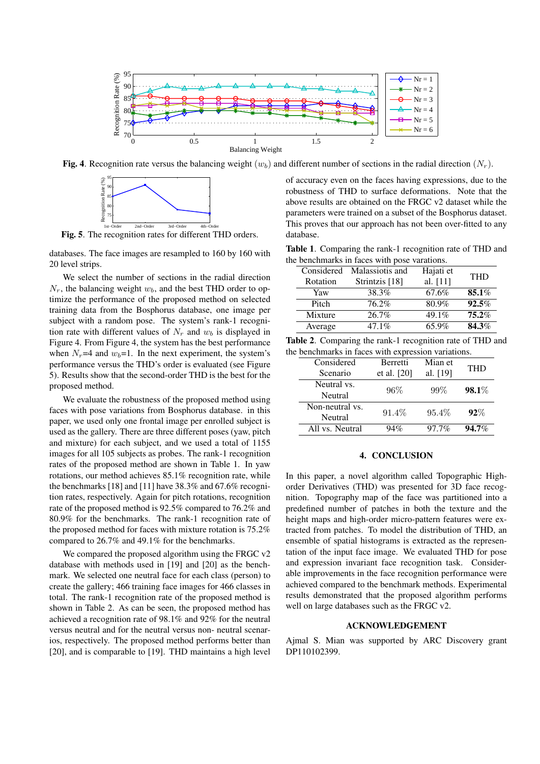

Fig. 4. Recognition rate versus the balancing weight  $(w_b)$  and different number of sections in the radial direction  $(N_r)$ .



Fig. 5. The recognition rates for different THD orders.

databases. The face images are resampled to 160 by 160 with 20 level strips.

We select the number of sections in the radial direction  $N_r$ , the balancing weight  $w_b$ , and the best THD order to optimize the performance of the proposed method on selected training data from the Bosphorus database, one image per subject with a random pose. The system's rank-1 recognition rate with different values of  $N_r$  and  $w_b$  is displayed in Figure 4. From Figure 4, the system has the best performance when  $N_r$ =4 and  $w_b$ =1. In the next experiment, the system's performance versus the THD's order is evaluated (see Figure 5). Results show that the second-order THD is the best for the proposed method.

We evaluate the robustness of the proposed method using faces with pose variations from Bosphorus database. in this paper, we used only one frontal image per enrolled subject is used as the gallery. There are three different poses (yaw, pitch and mixture) for each subject, and we used a total of 1155 images for all 105 subjects as probes. The rank-1 recognition rates of the proposed method are shown in Table 1. In yaw rotations, our method achieves 85.1% recognition rate, while the benchmarks [18] and [11] have 38.3% and 67.6% recognition rates, respectively. Again for pitch rotations, recognition rate of the proposed method is 92.5% compared to 76.2% and 80.9% for the benchmarks. The rank-1 recognition rate of the proposed method for faces with mixture rotation is 75.2% compared to 26.7% and 49.1% for the benchmarks.

We compared the proposed algorithm using the FRGC v2 database with methods used in [19] and [20] as the benchmark. We selected one neutral face for each class (person) to create the gallery; 466 training face images for 466 classes in total. The rank-1 recognition rate of the proposed method is shown in Table 2. As can be seen, the proposed method has achieved a recognition rate of 98.1% and 92% for the neutral versus neutral and for the neutral versus non- neutral scenarios, respectively. The proposed method performs better than [20], and is comparable to [19]. THD maintains a high level

of accuracy even on the faces having expressions, due to the robustness of THD to surface deformations. Note that the above results are obtained on the FRGC v2 dataset while the parameters were trained on a subset of the Bosphorus dataset. This proves that our approach has not been over-fitted to any database.

Table 1. Comparing the rank-1 recognition rate of THD and the benchmarks in faces with pose varations.

| Considered                 | Hajati et  | <b>THD</b>      |  |
|----------------------------|------------|-----------------|--|
| Strintzis [18]<br>Rotation | al. $[11]$ |                 |  |
| 38.3%                      | 67.6%      | 85.1%           |  |
| 76.2%                      | 80.9%      | 92.5%           |  |
| 26.7%<br>Mixture           | 49.1%      | 75.2%           |  |
| 47.1%<br>Average           | 65.9%      | 84.3%           |  |
|                            |            | Malassiotis and |  |

| Table 2. Comparing the rank-1 recognition rate of THD and |  |  |
|-----------------------------------------------------------|--|--|
| the benchmarks in faces with expression variations.       |  |  |

| Considered      | <b>Berretti</b> | Mian et  | <b>THD</b> |
|-----------------|-----------------|----------|------------|
| Scenario        | et al. $[20]$   | al. [19] |            |
| Neutral vs.     | 96%             | $99\%$   |            |
| Neutral         |                 |          | 98.1%      |
| Non-neutral vs. |                 |          | $92\%$     |
| Neutral         | 91.4\%          | 95.4%    |            |
| All vs. Neutral | 94%             | $97.7\%$ | 94.7%      |
|                 |                 |          |            |

#### 4. CONCLUSION

In this paper, a novel algorithm called Topographic Highorder Derivatives (THD) was presented for 3D face recognition. Topography map of the face was partitioned into a predefined number of patches in both the texture and the height maps and high-order micro-pattern features were extracted from patches. To model the distribution of THD, an ensemble of spatial histograms is extracted as the representation of the input face image. We evaluated THD for pose and expression invariant face recognition task. Considerable improvements in the face recognition performance were achieved compared to the benchmark methods. Experimental results demonstrated that the proposed algorithm performs well on large databases such as the FRGC v2.

#### ACKNOWLEDGEMENT

Ajmal S. Mian was supported by ARC Discovery grant DP110102399.